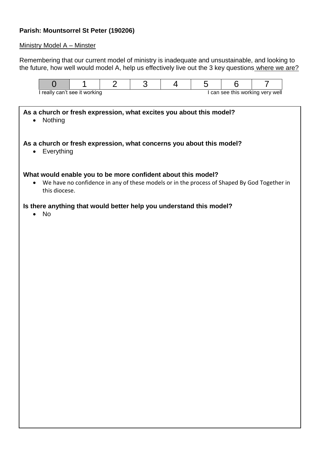# **Parish: Mountsorrel St Peter (190206)**

### Ministry Model A – Minster

Remembering that our current model of ministry is inadequate and unsustainable, and looking to the future, how well would model A, help us effectively live out the 3 key questions where we are?

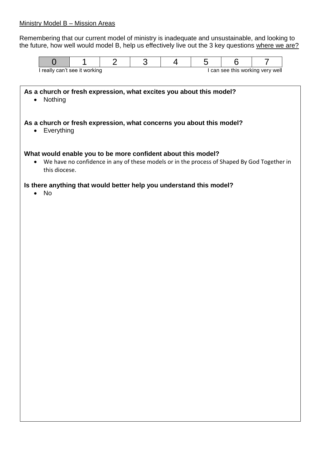## Ministry Model B – Mission Areas

Remembering that our current model of ministry is inadequate and unsustainable, and looking to the future, how well would model B, help us effectively live out the 3 key questions where we are?

| ∣ really can't see it working |  |  |  | can see this working very well |  |  |  |
|-------------------------------|--|--|--|--------------------------------|--|--|--|

**As a church or fresh expression, what excites you about this model?** • Nothing **As a church or fresh expression, what concerns you about this model?** • Everything **What would enable you to be more confident about this model?** We have no confidence in any of these models or in the process of Shaped By God Together in this diocese.

## **Is there anything that would better help you understand this model?**

No